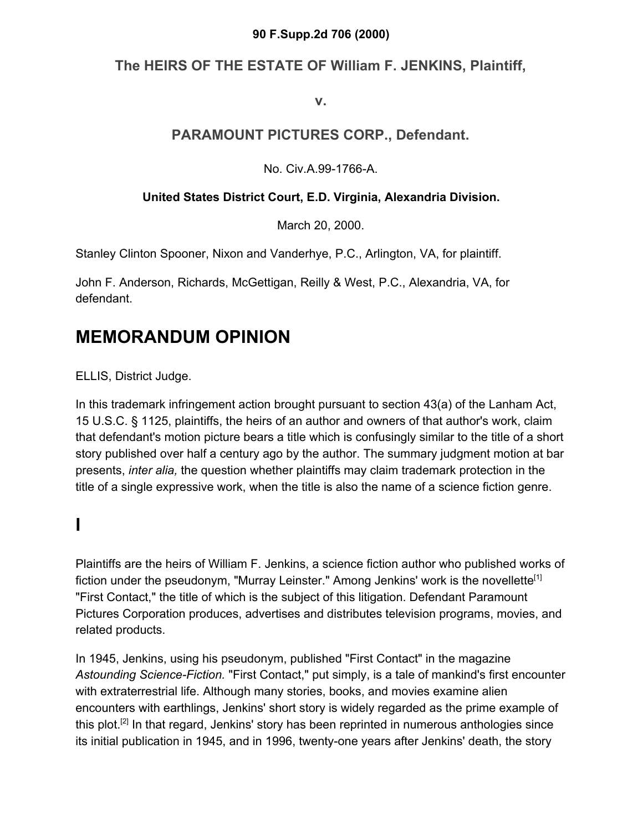### **90 F.Supp.2d 706 (2000)**

## **The HEIRS OF THE ESTATE OF William F. JENKINS, Plaintiff,**

**v.**

## **PARAMOUNT PICTURES CORP., Defendant.**

No. Civ.A.99-1766-A.

### **United States District Court, E.D. Virginia, Alexandria Division.**

March 20, 2000.

Stanley Clinton Spooner, Nixon and Vanderhye, P.C., Arlington, VA, for plaintiff.

John F. Anderson, Richards, McGettigan, Reilly & West, P.C., Alexandria, VA, for defendant.

## **MEMORANDUM OPINION**

ELLIS, District Judge.

In this trademark infringement action brought pursuant to section 43(a) of the Lanham Act, 15 U.S.C. § 1125, plaintiffs, the heirs of an author and owners of that author's work, claim that defendant's motion picture bears a title which is confusingly similar to the title of a short story published over half a century ago by the author. The summary judgment motion at bar presents, *inter alia,* the question whether plaintiffs may claim trademark protection in the title of a single expressive work, when the title is also the name of a science fiction genre.

# **I**

Plaintiffs are the heirs of William F. Jenkins, a science fiction author who published works of fiction under the pseudonym, "Murray Leinster." Among Jenkins' work is the novellette<sup>[1]</sup> "First Contact," the title of which is the subject of this litigation. Defendant Paramount Pictures Corporation produces, advertises and distributes television programs, movies, and related products.

In 1945, Jenkins, using his pseudonym, published "First Contact" in the magazine *Astounding Science-Fiction.* "First Contact," put simply, is a tale of mankind's first encounter with extraterrestrial life. Although many stories, books, and movies examine alien encounters with earthlings, Jenkins' short story is widely regarded as the prime example of this plot.<sup>[2]</sup> In that regard, Jenkins' story has been reprinted in numerous anthologies since its initial publication in 1945, and in 1996, twenty-one years after Jenkins' death, the story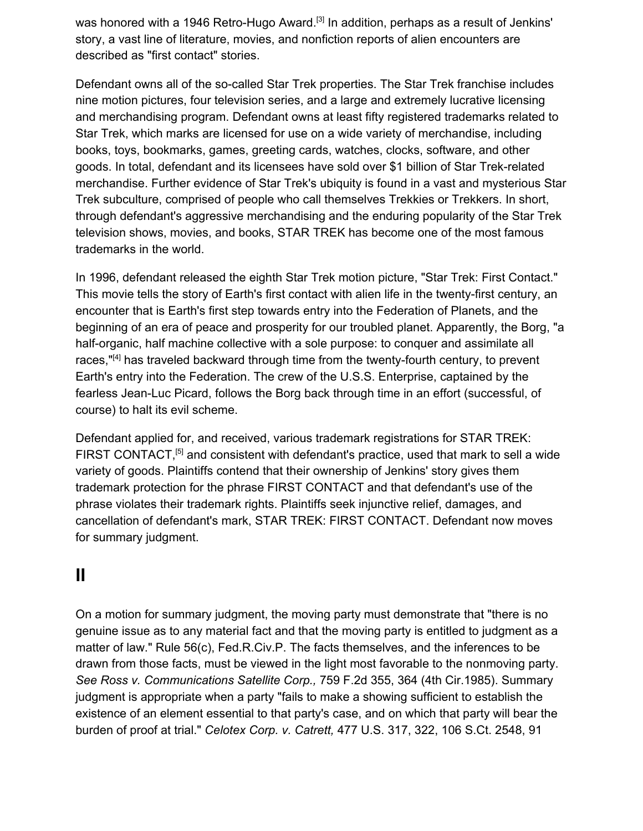was honored with a 1946 Retro-Hugo Award.<sup>[3]</sup> In addition, perhaps as a result of Jenkins' story, a vast line of literature, movies, and nonfiction reports of alien encounters are described as "first contact" stories.

Defendant owns all of the so-called Star Trek properties. The Star Trek franchise includes nine motion pictures, four television series, and a large and extremely lucrative licensing and merchandising program. Defendant owns at least fifty registered trademarks related to Star Trek, which marks are licensed for use on a wide variety of merchandise, including books, toys, bookmarks, games, greeting cards, watches, clocks, software, and other goods. In total, defendant and its licensees have sold over \$1 billion of Star Trek-related merchandise. Further evidence of Star Trek's ubiquity is found in a vast and mysterious Star Trek subculture, comprised of people who call themselves Trekkies or Trekkers. In short, through defendant's aggressive merchandising and the enduring popularity of the Star Trek television shows, movies, and books, STAR TREK has become one of the most famous trademarks in the world.

In 1996, defendant released the eighth Star Trek motion picture, "Star Trek: First Contact." This movie tells the story of Earth's first contact with alien life in the twenty-first century, an encounter that is Earth's first step towards entry into the Federation of Planets, and the beginning of an era of peace and prosperity for our troubled planet. Apparently, the Borg, "a half-organic, half machine collective with a sole purpose: to conquer and assimilate all races,"<sup>[4]</sup> has traveled backward through time from the twenty-fourth century, to prevent Earth's entry into the Federation. The crew of the U.S.S. Enterprise, captained by the fearless Jean-Luc Picard, follows the Borg back through time in an effort (successful, of course) to halt its evil scheme.

Defendant applied for, and received, various trademark registrations for STAR TREK: FIRST CONTACT,<sup>[5]</sup> and consistent with defendant's practice, used that mark to sell a wide variety of goods. Plaintiffs contend that their ownership of Jenkins' story gives them trademark protection for the phrase FIRST CONTACT and that defendant's use of the phrase violates their trademark rights. Plaintiffs seek injunctive relief, damages, and cancellation of defendant's mark, STAR TREK: FIRST CONTACT. Defendant now moves for summary judgment.

# **II**

On a motion for summary judgment, the moving party must demonstrate that "there is no genuine issue as to any material fact and that the moving party is entitled to judgment as a matter of law." Rule 56(c), Fed.R.Civ.P. The facts themselves, and the inferences to be drawn from those facts, must be viewed in the light most favorable to the nonmoving party. *See Ross v. Communications Satellite Corp.,* 759 F.2d 355, 364 (4th Cir.1985). Summary judgment is appropriate when a party "fails to make a showing sufficient to establish the existence of an element essential to that party's case, and on which that party will bear the burden of proof at trial." *Celotex Corp. v. Catrett,* 477 U.S. 317, 322, 106 S.Ct. 2548, 91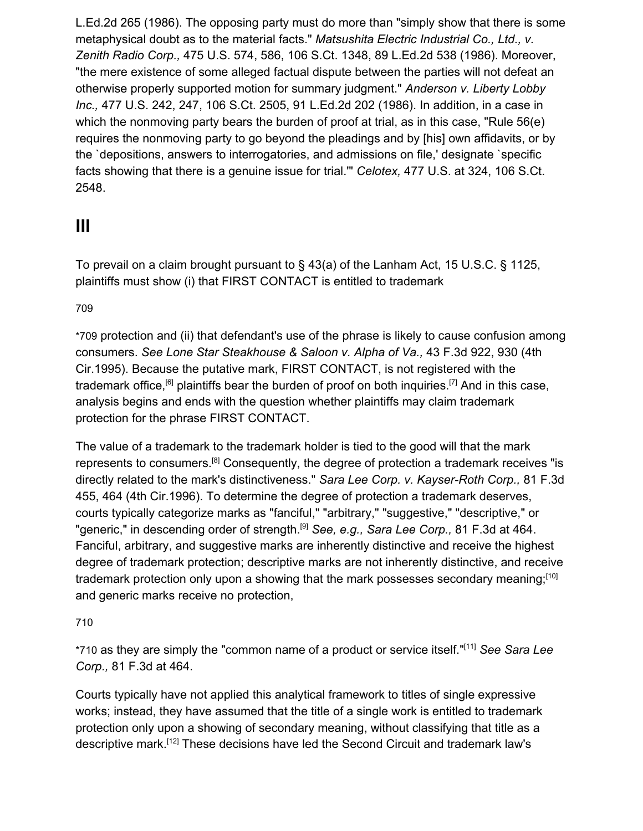L.Ed.2d 265 (1986). The opposing party must do more than "simply show that there is some metaphysical doubt as to the material facts." *Matsushita Electric Industrial Co., Ltd., v. Zenith Radio Corp.,* 475 U.S. 574, 586, 106 S.Ct. 1348, 89 L.Ed.2d 538 (1986). Moreover, "the mere existence of some alleged factual dispute between the parties will not defeat an otherwise properly supported motion for summary judgment." *Anderson v. Liberty Lobby Inc.,* 477 U.S. 242, 247, 106 S.Ct. 2505, 91 L.Ed.2d 202 (1986). In addition, in a case in which the nonmoving party bears the burden of proof at trial, as in this case, "Rule 56(e) requires the nonmoving party to go beyond the pleadings and by [his] own affidavits, or by the `depositions, answers to interrogatories, and admissions on file,' designate `specific facts showing that there is a genuine issue for trial.'" *Celotex,* 477 U.S. at 324, 106 S.Ct. 2548.

## **III**

To prevail on a claim brought pursuant to § 43(a) of the Lanham Act, 15 U.S.C. § 1125, plaintiffs must show (i) that FIRST CONTACT is entitled to trademark

### 70[9](https://scholar.google.com/scholar_case?case=7830587728798325141&hl=en&as_sdt=6,33#p709)

\*709 protection and (ii) that defendant's use of the phrase is likely to cause confusion among consumers. *See Lone Star Steakhouse & Saloon v. Alpha of Va.,* 43 F.3d 922, 930 (4th Cir.1995). Because the putative mark, FIRST CONTACT, is not registered with the trademark office,<sup>[6]</sup> plaintiffs bear the burden of proof on both inquiries.<sup>[7]</sup> And in this case, analysis begins and ends with the question whether plaintiffs may claim trademark protection for the phrase FIRST CONTACT.

The value of a trademark to the trademark holder is tied to the good will that the mark represents to consumers.[8] Consequently, the degree of protection a trademark receives "is directly related to the mark's distinctiveness." *Sara Lee Corp. v. Kayser-Roth Corp.,* 81 F.3d 455, 464 (4th Cir.1996). To determine the degree of protection a trademark deserves, courts typically categorize marks as "fanciful," "arbitrary," "suggestive," "descriptive," or "generic," in descending order of strength.<sup>[9]</sup> See, e.g., Sara Lee Corp., 81 F.3d at 464. Fanciful, arbitrary, and suggestive marks are inherently distinctive and receive the highest degree of trademark protection; descriptive marks are not inherently distinctive, and receive trademark protection only upon a showing that the mark possesses secondary meaning;<sup>[10]</sup> and generic marks receive no protection,

### 71[0](https://scholar.google.com/scholar_case?case=7830587728798325141&hl=en&as_sdt=6,33#p710)

\*710 as they are simply the "common name of a product or service itself."[11] *See Sara Lee Corp.,* 81 F.3d at 464.

Courts typically have not applied this analytical framework to titles of single expressive works; instead, they have assumed that the title of a single work is entitled to trademark protection only upon a showing of secondary meaning, without classifying that title as a descriptive mark.[12] These decisions have led the Second Circuit and trademark law's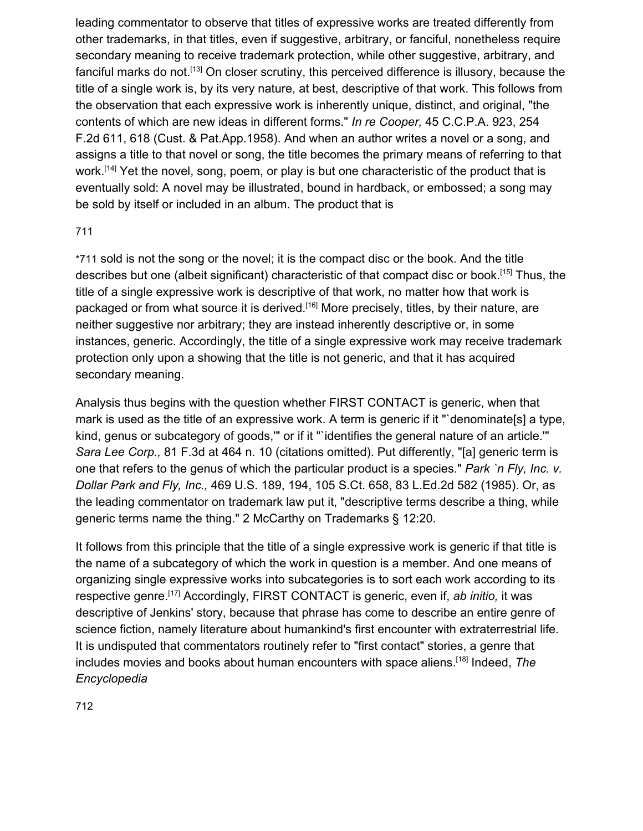leading commentator to observe that titles of expressive works are treated differently from other trademarks, in that titles, even if suggestive, arbitrary, or fanciful, nonetheless require secondary meaning to receive trademark protection, while other suggestive, arbitrary, and fanciful marks do not.<sup>[13]</sup> On closer scrutiny, this perceived difference is illusory, because the title of a single work is, by its very nature, at best, descriptive of that work. This follows from the observation that each expressive work is inherently unique, distinct, and original, "the contents of which are new ideas in different forms." *In re Cooper,* 45 C.C.P.A. 923, 254 F.2d 611, 618 (Cust. & Pat.App.1958). And when an author writes a novel or a song, and assigns a title to that novel or song, the title becomes the primary means of referring to that work.<sup>[14]</sup> Yet the novel, song, poem, or play is but one characteristic of the product that is eventually sold: A novel may be illustrated, bound in hardback, or embossed; a song may be sold by itself or included in an album. The product that is

#### 71[1](https://scholar.google.com/scholar_case?case=7830587728798325141&hl=en&as_sdt=6,33#p711)

\*711 sold is not the song or the novel; it is the compact disc or the book. And the title describes but one (albeit significant) characteristic of that compact disc or book.[15] Thus, the title of a single expressive work is descriptive of that work, no matter how that work is packaged or from what source it is derived.<sup>[16]</sup> More precisely, titles, by their nature, are neither suggestive nor arbitrary; they are instead inherently descriptive or, in some instances, generic. Accordingly, the title of a single expressive work may receive trademark protection only upon a showing that the title is not generic, and that it has acquired secondary meaning.

Analysis thus begins with the question whether FIRST CONTACT is generic, when that mark is used as the title of an expressive work. A term is generic if it "`denominate[s] a type, kind, genus or subcategory of goods," or if it "'identifies the general nature of an article." *Sara Lee Corp.,* 81 F.3d at 464 n. 10 (citations omitted). Put differently, "[a] generic term is one that refers to the genus of which the particular product is a species." *Park `n Fly, Inc. v. Dollar Park and Fly, Inc.,* 469 U.S. 189, 194, 105 S.Ct. 658, 83 L.Ed.2d 582 (1985). Or, as the leading commentator on trademark law put it, "descriptive terms describe a thing, while generic terms name the thing." 2 McCarthy on Trademarks § 12:20.

It follows from this principle that the title of a single expressive work is generic if that title is the name of a subcategory of which the work in question is a member. And one means of organizing single expressive works into subcategories is to sort each work according to its respective genre.[17] Accordingly, FIRST CONTACT is generic, even if, *ab initio,* it was descriptive of Jenkins' story, because that phrase has come to describe an entire genre of science fiction, namely literature about humankind's first encounter with extraterrestrial life. It is undisputed that commentators routinely refer to "first contact" stories, a genre that includes movies and books about human encounters with space aliens.[18] Indeed, *The Encyclopedia*

71[2](https://scholar.google.com/scholar_case?case=7830587728798325141&hl=en&as_sdt=6,33#p712)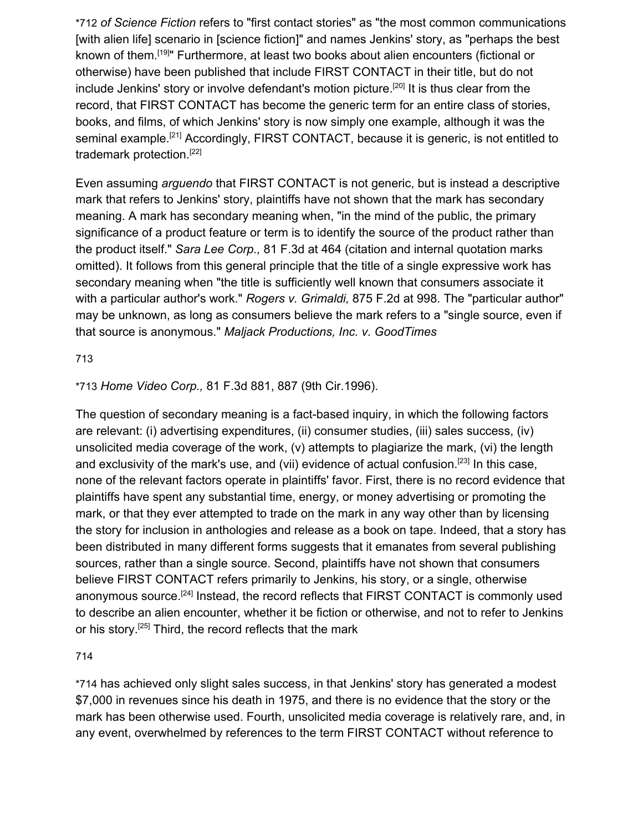\*712 *of Science Fiction* refers to "first contact stories" as "the most common communications [with alien life] scenario in [science fiction]" and names Jenkins' story, as "perhaps the best known of them.[19]" Furthermore, at least two books about alien encounters (fictional or otherwise) have been published that include FIRST CONTACT in their title, but do not include Jenkins' story or involve defendant's motion picture.<sup>[20]</sup> It is thus clear from the record, that FIRST CONTACT has become the generic term for an entire class of stories, books, and films, of which Jenkins' story is now simply one example, although it was the seminal example.<sup>[21]</sup> Accordingly, FIRST CONTACT, because it is generic, is not entitled to trademark protection.[22]

Even assuming *arguendo* that FIRST CONTACT is not generic, but is instead a descriptive mark that refers to Jenkins' story, plaintiffs have not shown that the mark has secondary meaning. A mark has secondary meaning when, "in the mind of the public, the primary significance of a product feature or term is to identify the source of the product rather than the product itself." *Sara Lee Corp.,* 81 F.3d at 464 (citation and internal quotation marks omitted). It follows from this general principle that the title of a single expressive work has secondary meaning when "the title is sufficiently well known that consumers associate it with a particular author's work." *Rogers v. Grimaldi,* 875 F.2d at 998. The "particular author" may be unknown, as long as consumers believe the mark refers to a "single source, even if that source is anonymous." *Maljack Productions, Inc. v. GoodTimes*

71[3](https://scholar.google.com/scholar_case?case=7830587728798325141&hl=en&as_sdt=6,33#p713)

\*713 *Home Video Corp.,* 81 F.3d 881, 887 (9th Cir.1996).

The question of secondary meaning is a fact-based inquiry, in which the following factors are relevant: (i) advertising expenditures, (ii) consumer studies, (iii) sales success, (iv) unsolicited media coverage of the work, (v) attempts to plagiarize the mark, (vi) the length and exclusivity of the mark's use, and (vii) evidence of actual confusion.<sup>[23]</sup> In this case, none of the relevant factors operate in plaintiffs' favor. First, there is no record evidence that plaintiffs have spent any substantial time, energy, or money advertising or promoting the mark, or that they ever attempted to trade on the mark in any way other than by licensing the story for inclusion in anthologies and release as a book on tape. Indeed, that a story has been distributed in many different forms suggests that it emanates from several publishing sources, rather than a single source. Second, plaintiffs have not shown that consumers believe FIRST CONTACT refers primarily to Jenkins, his story, or a single, otherwise anonymous source.<sup>[24]</sup> Instead, the record reflects that FIRST CONTACT is commonly used to describe an alien encounter, whether it be fiction or otherwise, and not to refer to Jenkins or his story.[25] Third, the record reflects that the mark

71[4](https://scholar.google.com/scholar_case?case=7830587728798325141&hl=en&as_sdt=6,33#p714)

\*714 has achieved only slight sales success, in that Jenkins' story has generated a modest \$7,000 in revenues since his death in 1975, and there is no evidence that the story or the mark has been otherwise used. Fourth, unsolicited media coverage is relatively rare, and, in any event, overwhelmed by references to the term FIRST CONTACT without reference to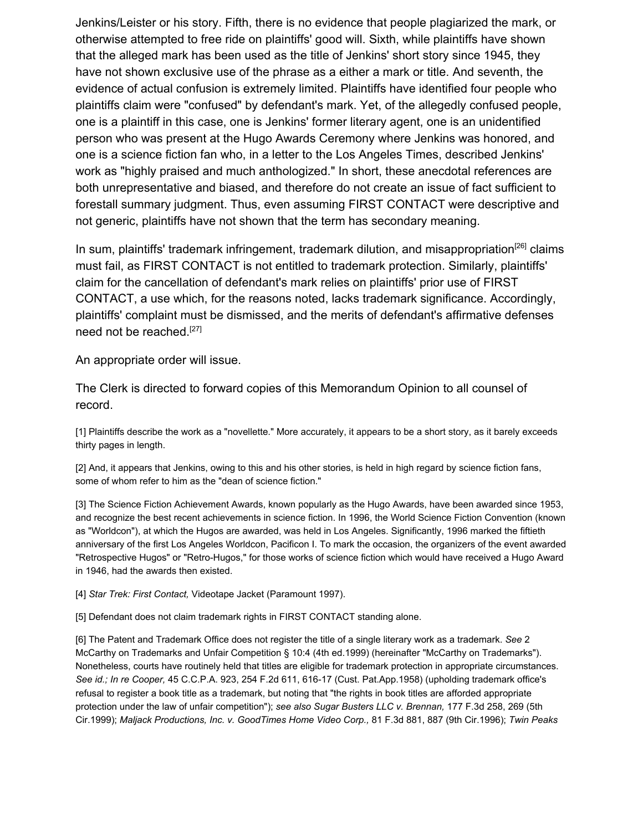Jenkins/Leister or his story. Fifth, there is no evidence that people plagiarized the mark, or otherwise attempted to free ride on plaintiffs' good will. Sixth, while plaintiffs have shown that the alleged mark has been used as the title of Jenkins' short story since 1945, they have not shown exclusive use of the phrase as a either a mark or title. And seventh, the evidence of actual confusion is extremely limited. Plaintiffs have identified four people who plaintiffs claim were "confused" by defendant's mark. Yet, of the allegedly confused people, one is a plaintiff in this case, one is Jenkins' former literary agent, one is an unidentified person who was present at the Hugo Awards Ceremony where Jenkins was honored, and one is a science fiction fan who, in a letter to the Los Angeles Times, described Jenkins' work as "highly praised and much anthologized." In short, these anecdotal references are both unrepresentative and biased, and therefore do not create an issue of fact sufficient to forestall summary judgment. Thus, even assuming FIRST CONTACT were descriptive and not generic, plaintiffs have not shown that the term has secondary meaning.

In sum, plaintiffs' trademark infringement, trademark dilution, and misappropriation<sup>[26]</sup> claims must fail, as FIRST CONTACT is not entitled to trademark protection. Similarly, plaintiffs' claim for the cancellation of defendant's mark relies on plaintiffs' prior use of FIRST CONTACT, a use which, for the reasons noted, lacks trademark significance. Accordingly, plaintiffs' complaint must be dismissed, and the merits of defendant's affirmative defenses need not be reached.<sup>[27]</sup>

An appropriate order will issue.

The Clerk is directed to forward copies of this Memorandum Opinion to all counsel of record.

[1] Plaintiffs describe the work as a "novellette." More accurately, it appears to be a short story, as it barely exceeds thirty pages in length.

[2] And, it appears that Jenkins, owing to this and his other stories, is held in high regard by science fiction fans, some of whom refer to him as the "dean of science fiction."

[3] The Science Fiction Achievement Awards, known popularly as the Hugo Awards, have been awarded since 1953, and recognize the best recent achievements in science fiction. In 1996, the World Science Fiction Convention (known as "Worldcon"), at which the Hugos are awarded, was held in Los Angeles. Significantly, 1996 marked the fiftieth anniversary of the first Los Angeles Worldcon, Pacificon I. To mark the occasion, the organizers of the event awarded "Retrospective Hugos" or "Retro-Hugos," for those works of science fiction which would have received a Hugo Award in 1946, had the awards then existed.

[4] *Star Trek: First Contact,* Videotape Jacket (Paramount 1997).

[5] Defendant does not claim trademark rights in FIRST CONTACT standing alone.

[6] The Patent and Trademark Office does not register the title of a single literary work as a trademark. *See* 2 McCarthy on Trademarks and Unfair Competition § 10:4 (4th ed.1999) (hereinafter "McCarthy on Trademarks"). Nonetheless, courts have routinely held that titles are eligible for trademark protection in appropriate circumstances. *See id.; In re Cooper,* 45 C.C.P.A. 923, 254 F.2d 611, 616-17 (Cust. Pat.App.1958) (upholding trademark office's refusal to register a book title as a trademark, but noting that "the rights in book titles are afforded appropriate protection under the law of unfair competition"); *see also Sugar Busters LLC v. Brennan,* 177 F.3d 258, 269 (5th Cir.1999); *Maljack Productions, Inc. v. GoodTimes Home Video Corp.,* 81 F.3d 881, 887 (9th Cir.1996); *Twin Peaks*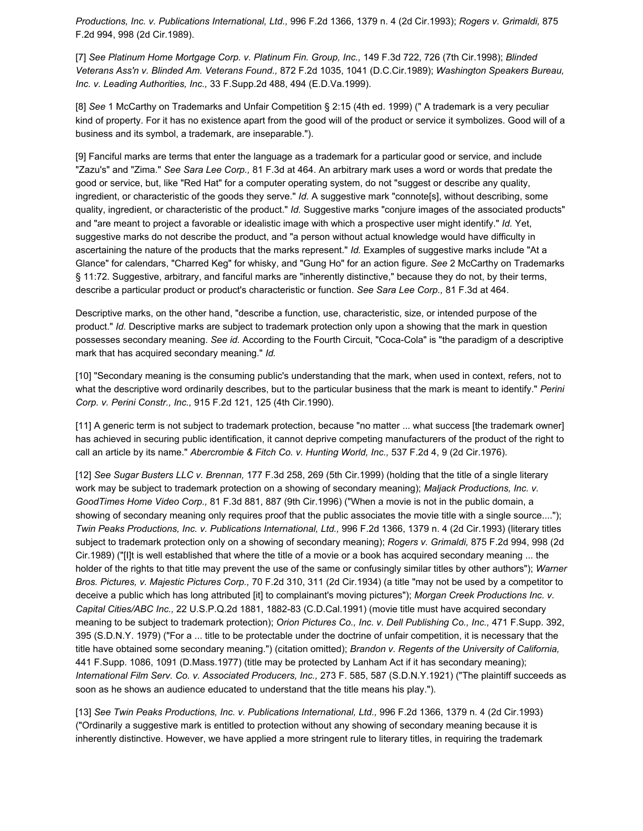*Productions, Inc. v. Publications International, Ltd.,* 996 F.2d 1366, 1379 n. 4 (2d Cir.1993); *Rogers v. Grimaldi,* 875 F.2d 994, 998 (2d Cir.1989).

[7] *See Platinum Home Mortgage Corp. v. Platinum Fin. Group, Inc.,* 149 F.3d 722, 726 (7th Cir.1998); *Blinded Veterans Ass'n v. Blinded Am. Veterans Found.,* 872 F.2d 1035, 1041 (D.C.Cir.1989); *Washington Speakers Bureau, Inc. v. Leading Authorities, Inc.,* 33 F.Supp.2d 488, 494 (E.D.Va.1999).

[8] *See* 1 McCarthy on Trademarks and Unfair Competition § 2:15 (4th ed. 1999) (" A trademark is a very peculiar kind of property. For it has no existence apart from the good will of the product or service it symbolizes. Good will of a business and its symbol, a trademark, are inseparable.").

[9] Fanciful marks are terms that enter the language as a trademark for a particular good or service, and include "Zazu's" and "Zima." *See Sara Lee Corp.,* 81 F.3d at 464. An arbitrary mark uses a word or words that predate the good or service, but, like "Red Hat" for a computer operating system, do not "suggest or describe any quality, ingredient, or characteristic of the goods they serve." *Id.* A suggestive mark "connote[s], without describing, some quality, ingredient, or characteristic of the product." *Id.* Suggestive marks "conjure images of the associated products" and "are meant to project a favorable or idealistic image with which a prospective user might identify." *Id.* Yet, suggestive marks do not describe the product, and "a person without actual knowledge would have difficulty in ascertaining the nature of the products that the marks represent." *Id.* Examples of suggestive marks include "At a Glance" for calendars, "Charred Keg" for whisky, and "Gung Ho" for an action figure. *See* 2 McCarthy on Trademarks § 11:72. Suggestive, arbitrary, and fanciful marks are "inherently distinctive," because they do not, by their terms, describe a particular product or product's characteristic or function. *See Sara Lee Corp.,* 81 F.3d at 464.

Descriptive marks, on the other hand, "describe a function, use, characteristic, size, or intended purpose of the product." *Id.* Descriptive marks are subject to trademark protection only upon a showing that the mark in question possesses secondary meaning. *See id.* According to the Fourth Circuit, "Coca-Cola" is "the paradigm of a descriptive mark that has acquired secondary meaning." *Id.*

[10] "Secondary meaning is the consuming public's understanding that the mark, when used in context, refers, not to what the descriptive word ordinarily describes, but to the particular business that the mark is meant to identify." *Perini Corp. v. Perini Constr., Inc.,* 915 F.2d 121, 125 (4th Cir.1990).

[11] A generic term is not subject to trademark protection, because "no matter ... what success [the trademark owner] has achieved in securing public identification, it cannot deprive competing manufacturers of the product of the right to call an article by its name." *Abercrombie & Fitch Co. v. Hunting World, Inc.,* 537 F.2d 4, 9 (2d Cir.1976).

[12] *See Sugar Busters LLC v. Brennan,* 177 F.3d 258, 269 (5th Cir.1999) (holding that the title of a single literary work may be subject to trademark protection on a showing of secondary meaning); *Maljack Productions, Inc. v. GoodTimes Home Video Corp.,* 81 F.3d 881, 887 (9th Cir.1996) ("When a movie is not in the public domain, a showing of secondary meaning only requires proof that the public associates the movie title with a single source...."); *Twin Peaks Productions, Inc. v. Publications International, Ltd.,* 996 F.2d 1366, 1379 n. 4 (2d Cir.1993) (literary titles subject to trademark protection only on a showing of secondary meaning); *Rogers v. Grimaldi,* 875 F.2d 994, 998 (2d Cir.1989) ("[I]t is well established that where the title of a movie or a book has acquired secondary meaning ... the holder of the rights to that title may prevent the use of the same or confusingly similar titles by other authors"); *Warner Bros. Pictures, v. Majestic Pictures Corp.,* 70 F.2d 310, 311 (2d Cir.1934) (a title "may not be used by a competitor to deceive a public which has long attributed [it] to complainant's moving pictures"); *Morgan Creek Productions Inc. v. Capital Cities/ABC Inc.,* 22 U.S.P.Q.2d 1881, 1882-83 (C.D.Cal.1991) (movie title must have acquired secondary meaning to be subject to trademark protection); *Orion Pictures Co., Inc. v. Dell Publishing Co., Inc.,* 471 F.Supp. 392, 395 (S.D.N.Y. 1979) ("For a ... title to be protectable under the doctrine of unfair competition, it is necessary that the title have obtained some secondary meaning.") (citation omitted); *Brandon v. Regents of the University of California,* 441 F.Supp. 1086, 1091 (D.Mass.1977) (title may be protected by Lanham Act if it has secondary meaning); *International Film Serv. Co. v. Associated Producers, Inc.,* 273 F. 585, 587 (S.D.N.Y.1921) ("The plaintiff succeeds as soon as he shows an audience educated to understand that the title means his play.").

[13] *See Twin Peaks Productions, Inc. v. Publications International, Ltd.,* 996 F.2d 1366, 1379 n. 4 (2d Cir.1993) ("Ordinarily a suggestive mark is entitled to protection without any showing of secondary meaning because it is inherently distinctive. However, we have applied a more stringent rule to literary titles, in requiring the trademark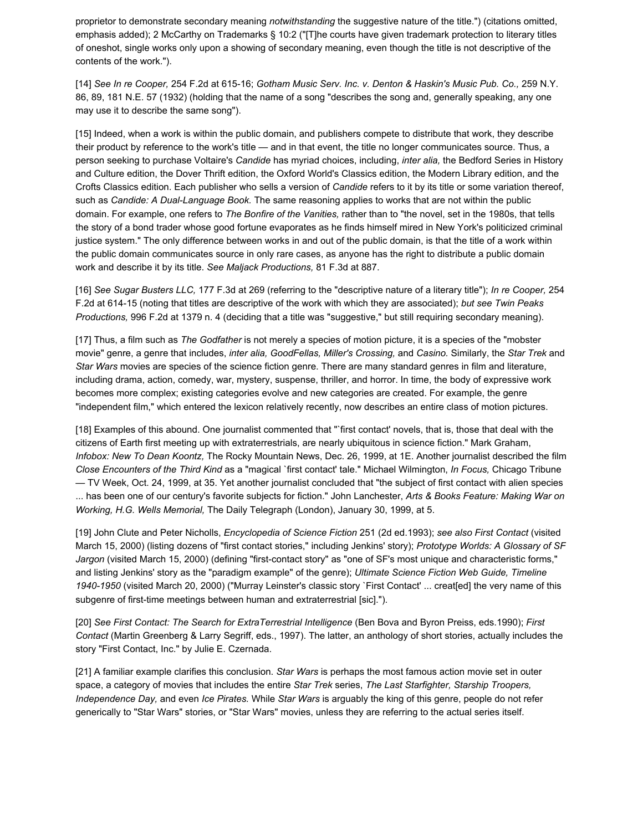proprietor to demonstrate secondary meaning *notwithstanding* the suggestive nature of the title.") (citations omitted, emphasis added); 2 McCarthy on Trademarks § 10:2 ("[T]he courts have given trademark protection to literary titles of oneshot, single works only upon a showing of secondary meaning, even though the title is not descriptive of the contents of the work.").

[14] *See In re Cooper,* 254 F.2d at 615-16; *Gotham Music Serv. Inc. v. Denton & Haskin's Music Pub. Co.,* 259 N.Y. 86, 89, 181 N.E. 57 (1932) (holding that the name of a song "describes the song and, generally speaking, any one may use it to describe the same song").

[15] Indeed, when a work is within the public domain, and publishers compete to distribute that work, they describe their product by reference to the work's title — and in that event, the title no longer communicates source. Thus, a person seeking to purchase Voltaire's *Candide* has myriad choices, including, *inter alia,* the Bedford Series in History and Culture edition, the Dover Thrift edition, the Oxford World's Classics edition, the Modern Library edition, and the Crofts Classics edition. Each publisher who sells a version of *Candide* refers to it by its title or some variation thereof, such as *Candide: A Dual-Language Book.* The same reasoning applies to works that are not within the public domain. For example, one refers to *The Bonfire of the Vanities,* rather than to "the novel, set in the 1980s, that tells the story of a bond trader whose good fortune evaporates as he finds himself mired in New York's politicized criminal justice system." The only difference between works in and out of the public domain, is that the title of a work within the public domain communicates source in only rare cases, as anyone has the right to distribute a public domain work and describe it by its title. *See Maljack Productions,* 81 F.3d at 887.

[16] *See Sugar Busters LLC,* 177 F.3d at 269 (referring to the "descriptive nature of a literary title"); *In re Cooper,* 254 F.2d at 614-15 (noting that titles are descriptive of the work with which they are associated); *but see Twin Peaks Productions,* 996 F.2d at 1379 n. 4 (deciding that a title was "suggestive," but still requiring secondary meaning).

[17] Thus, a film such as *The Godfather* is not merely a species of motion picture, it is a species of the "mobster movie" genre, a genre that includes, *inter alia, GoodFellas, Miller's Crossing,* and *Casino.* Similarly, the *Star Trek* and *Star Wars* movies are species of the science fiction genre. There are many standard genres in film and literature, including drama, action, comedy, war, mystery, suspense, thriller, and horror. In time, the body of expressive work becomes more complex; existing categories evolve and new categories are created. For example, the genre "independent film," which entered the lexicon relatively recently, now describes an entire class of motion pictures.

[18] Examples of this abound. One journalist commented that "`first contact' novels, that is, those that deal with the citizens of Earth first meeting up with extraterrestrials, are nearly ubiquitous in science fiction." Mark Graham, *Infobox: New To Dean Koontz,* The Rocky Mountain News, Dec. 26, 1999, at 1E. Another journalist described the film *Close Encounters of the Third Kind* as a "magical `first contact' tale." Michael Wilmington, *In Focus,* Chicago Tribune — TV Week, Oct. 24, 1999, at 35. Yet another journalist concluded that "the subject of first contact with alien species ... has been one of our century's favorite subjects for fiction." John Lanchester, *Arts & Books Feature: Making War on Working, H.G. Wells Memorial,* The Daily Telegraph (London), January 30, 1999, at 5.

[19] John Clute and Peter Nicholls, *Encyclopedia of Science Fiction* 251 (2d ed.1993); *see also First Contact* (visited March 15, 2000) (listing dozens of "first contact stories," including Jenkins' story); *Prototype Worlds: A Glossary of SF Jargon* (visited March 15, 2000) (defining "first-contact story" as "one of SF's most unique and characteristic forms," and listing Jenkins' story as the "paradigm example" of the genre); *Ultimate Science Fiction Web Guide, Timeline 1940-1950* (visited March 20, 2000) ("Murray Leinster's classic story `First Contact' ... creat[ed] the very name of this subgenre of first-time meetings between human and extraterrestrial [sic].").

[20] *See First Contact: The Search for ExtraTerrestrial Intelligence* (Ben Bova and Byron Preiss, eds.1990); *First Contact* (Martin Greenberg & Larry Segriff, eds., 1997). The latter, an anthology of short stories, actually includes the story "First Contact, Inc." by Julie E. Czernada.

[21] A familiar example clarifies this conclusion. *Star Wars* is perhaps the most famous action movie set in outer space, a category of movies that includes the entire *Star Trek* series, *The Last Starfighter, Starship Troopers, Independence Day,* and even *Ice Pirates.* While *Star Wars* is arguably the king of this genre, people do not refer generically to "Star Wars" stories, or "Star Wars" movies, unless they are referring to the actual series itself.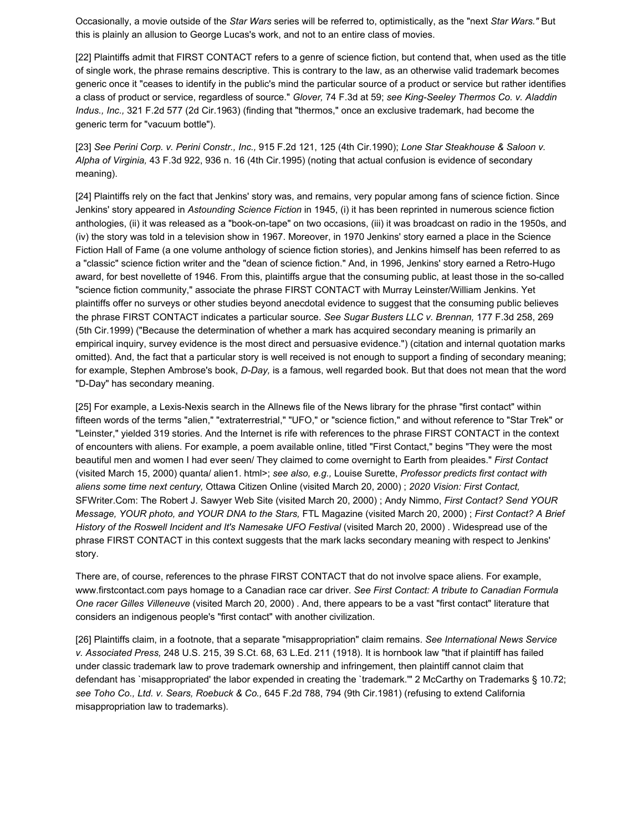Occasionally, a movie outside of the *Star Wars* series will be referred to, optimistically, as the "next *Star Wars."* But this is plainly an allusion to George Lucas's work, and not to an entire class of movies.

[22] Plaintiffs admit that FIRST CONTACT refers to a genre of science fiction, but contend that, when used as the title of single work, the phrase remains descriptive. This is contrary to the law, as an otherwise valid trademark becomes generic once it "ceases to identify in the public's mind the particular source of a product or service but rather identifies a class of product or service, regardless of source." *Glover,* 74 F.3d at 59; *see King-Seeley Thermos Co. v. Aladdin Indus., Inc.,* 321 F.2d 577 (2d Cir.1963) (finding that "thermos," once an exclusive trademark, had become the generic term for "vacuum bottle").

[23] *See Perini Corp. v. Perini Constr., Inc.,* 915 F.2d 121, 125 (4th Cir.1990); *Lone Star Steakhouse & Saloon v. Alpha of Virginia,* 43 F.3d 922, 936 n. 16 (4th Cir.1995) (noting that actual confusion is evidence of secondary meaning).

[24] Plaintiffs rely on the fact that Jenkins' story was, and remains, very popular among fans of science fiction. Since Jenkins' story appeared in *Astounding Science Fiction* in 1945, (i) it has been reprinted in numerous science fiction anthologies, (ii) it was released as a "book-on-tape" on two occasions, (iii) it was broadcast on radio in the 1950s, and (iv) the story was told in a television show in 1967. Moreover, in 1970 Jenkins' story earned a place in the Science Fiction Hall of Fame (a one volume anthology of science fiction stories), and Jenkins himself has been referred to as a "classic" science fiction writer and the "dean of science fiction." And, in 1996, Jenkins' story earned a Retro-Hugo award, for best novellette of 1946. From this, plaintiffs argue that the consuming public, at least those in the so-called "science fiction community," associate the phrase FIRST CONTACT with Murray Leinster/William Jenkins. Yet plaintiffs offer no surveys or other studies beyond anecdotal evidence to suggest that the consuming public believes the phrase FIRST CONTACT indicates a particular source. *See Sugar Busters LLC v. Brennan,* 177 F.3d 258, 269 (5th Cir.1999) ("Because the determination of whether a mark has acquired secondary meaning is primarily an empirical inquiry, survey evidence is the most direct and persuasive evidence.") (citation and internal quotation marks omitted). And, the fact that a particular story is well received is not enough to support a finding of secondary meaning; for example, Stephen Ambrose's book, *D-Day,* is a famous, well regarded book. But that does not mean that the word "D-Day" has secondary meaning.

[25] For example, a Lexis-Nexis search in the Allnews file of the News library for the phrase "first contact" within fifteen words of the terms "alien," "extraterrestrial," "UFO," or "science fiction," and without reference to "Star Trek" or "Leinster," yielded 319 stories. And the Internet is rife with references to the phrase FIRST CONTACT in the context of encounters with aliens. For example, a poem available online, titled "First Contact," begins "They were the most beautiful men and women I had ever seen/ They claimed to come overnight to Earth from pleaides." *First Contact* (visited March 15, 2000) quanta/ alien1. html>; *see also, e.g.,* Louise Surette, *Professor predicts first contact with aliens some time next century,* Ottawa Citizen Online (visited March 20, 2000) ; *2020 Vision: First Contact,* SFWriter.Com: The Robert J. Sawyer Web Site (visited March 20, 2000) ; Andy Nimmo, *First Contact? Send YOUR Message, YOUR photo, and YOUR DNA to the Stars,* FTL Magazine (visited March 20, 2000) ; *First Contact? A Brief History of the Roswell Incident and It's Namesake UFO Festival* (visited March 20, 2000) . Widespread use of the phrase FIRST CONTACT in this context suggests that the mark lacks secondary meaning with respect to Jenkins' story.

There are, of course, references to the phrase FIRST CONTACT that do not involve space aliens. For example, www.firstcontact.com pays homage to a Canadian race car driver. *See First Contact: A tribute to Canadian Formula One racer Gilles Villeneuve* (visited March 20, 2000) . And, there appears to be a vast "first contact" literature that considers an indigenous people's "first contact" with another civilization.

[26] Plaintiffs claim, in a footnote, that a separate "misappropriation" claim remains. *See International News Service v. Associated Press,* 248 U.S. 215, 39 S.Ct. 68, 63 L.Ed. 211 (1918). It is hornbook law "that if plaintiff has failed under classic trademark law to prove trademark ownership and infringement, then plaintiff cannot claim that defendant has `misappropriated' the labor expended in creating the `trademark.'" 2 McCarthy on Trademarks § 10.72; *see Toho Co., Ltd. v. Sears, Roebuck & Co.,* 645 F.2d 788, 794 (9th Cir.1981) (refusing to extend California misappropriation law to trademarks).